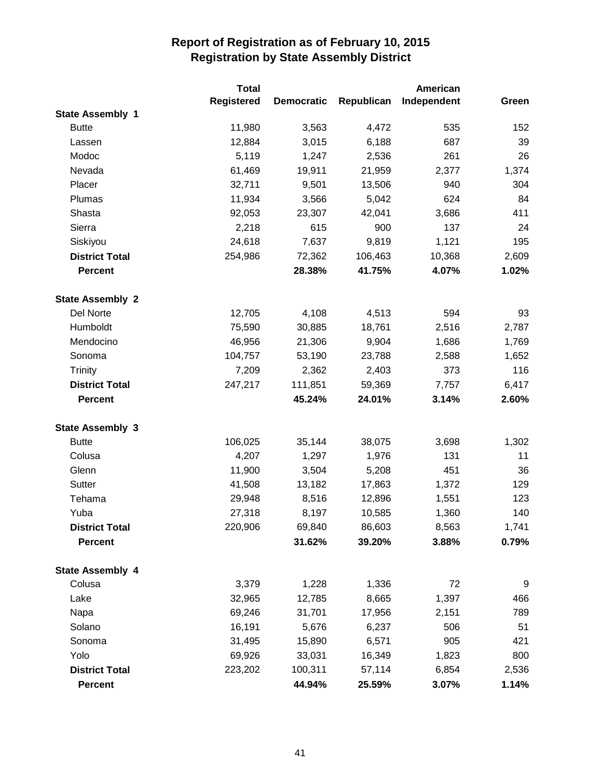|                         | <b>Total</b>      |                   |            | American    |       |
|-------------------------|-------------------|-------------------|------------|-------------|-------|
|                         | <b>Registered</b> | <b>Democratic</b> | Republican | Independent | Green |
| <b>State Assembly 1</b> |                   |                   |            |             |       |
| <b>Butte</b>            | 11,980            | 3,563             | 4,472      | 535         | 152   |
| Lassen                  | 12,884            | 3,015             | 6,188      | 687         | 39    |
| Modoc                   | 5,119             | 1,247             | 2,536      | 261         | 26    |
| Nevada                  | 61,469            | 19,911            | 21,959     | 2,377       | 1,374 |
| Placer                  | 32,711            | 9,501             | 13,506     | 940         | 304   |
| Plumas                  | 11,934            | 3,566             | 5,042      | 624         | 84    |
| Shasta                  | 92,053            | 23,307            | 42,041     | 3,686       | 411   |
| Sierra                  | 2,218             | 615               | 900        | 137         | 24    |
| Siskiyou                | 24,618            | 7,637             | 9,819      | 1,121       | 195   |
| <b>District Total</b>   | 254,986           | 72,362            | 106,463    | 10,368      | 2,609 |
| <b>Percent</b>          |                   | 28.38%            | 41.75%     | 4.07%       | 1.02% |
| <b>State Assembly 2</b> |                   |                   |            |             |       |
| Del Norte               | 12,705            | 4,108             | 4,513      | 594         | 93    |
| Humboldt                | 75,590            | 30,885            | 18,761     | 2,516       | 2,787 |
| Mendocino               | 46,956            | 21,306            | 9,904      | 1,686       | 1,769 |
| Sonoma                  | 104,757           | 53,190            | 23,788     | 2,588       | 1,652 |
| <b>Trinity</b>          | 7,209             | 2,362             | 2,403      | 373         | 116   |
| <b>District Total</b>   | 247,217           | 111,851           | 59,369     | 7,757       | 6,417 |
| <b>Percent</b>          |                   | 45.24%            | 24.01%     | 3.14%       | 2.60% |
| <b>State Assembly 3</b> |                   |                   |            |             |       |
| <b>Butte</b>            | 106,025           | 35,144            | 38,075     | 3,698       | 1,302 |
| Colusa                  | 4,207             | 1,297             | 1,976      | 131         | 11    |
| Glenn                   | 11,900            | 3,504             | 5,208      | 451         | 36    |
| Sutter                  | 41,508            | 13,182            | 17,863     | 1,372       | 129   |
| Tehama                  | 29,948            | 8,516             | 12,896     | 1,551       | 123   |
| Yuba                    | 27,318            | 8,197             | 10,585     | 1,360       | 140   |
| <b>District Total</b>   | 220,906           | 69,840            | 86,603     | 8,563       | 1,741 |
| <b>Percent</b>          |                   | 31.62%            | 39.20%     | 3.88%       | 0.79% |
| <b>State Assembly 4</b> |                   |                   |            |             |       |
| Colusa                  | 3,379             | 1,228             | 1,336      | 72          | 9     |
| Lake                    | 32,965            | 12,785            | 8,665      | 1,397       | 466   |
| Napa                    | 69,246            | 31,701            | 17,956     | 2,151       | 789   |
| Solano                  | 16,191            | 5,676             | 6,237      | 506         | 51    |
| Sonoma                  | 31,495            | 15,890            | 6,571      | 905         | 421   |
| Yolo                    | 69,926            | 33,031            | 16,349     | 1,823       | 800   |
| <b>District Total</b>   | 223,202           | 100,311           | 57,114     | 6,854       | 2,536 |
| <b>Percent</b>          |                   | 44.94%            | 25.59%     | 3.07%       | 1.14% |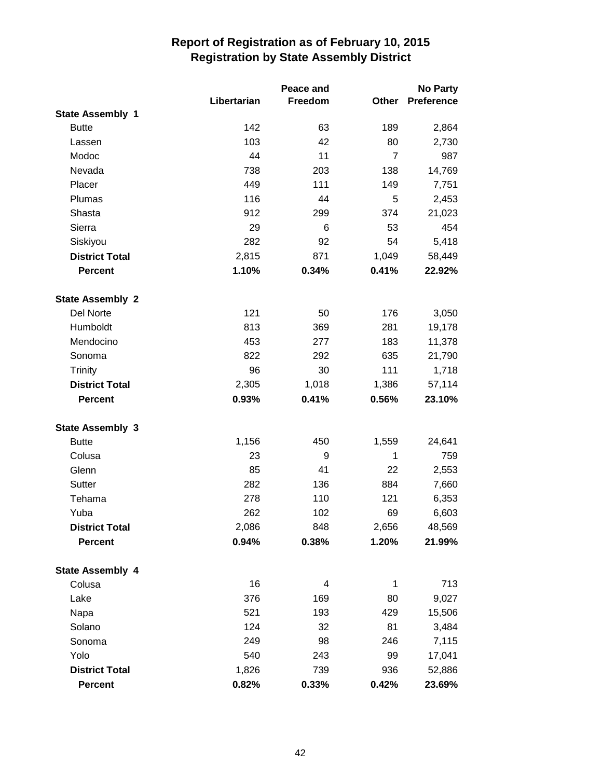|                         |             | Peace and |                | No Party          |
|-------------------------|-------------|-----------|----------------|-------------------|
|                         | Libertarian | Freedom   | Other          | <b>Preference</b> |
| <b>State Assembly 1</b> |             |           |                |                   |
| <b>Butte</b>            | 142         | 63        | 189            | 2,864             |
| Lassen                  | 103         | 42        | 80             | 2,730             |
| Modoc                   | 44          | 11        | $\overline{7}$ | 987               |
| Nevada                  | 738         | 203       | 138            | 14,769            |
| Placer                  | 449         | 111       | 149            | 7,751             |
| Plumas                  | 116         | 44        | 5              | 2,453             |
| Shasta                  | 912         | 299       | 374            | 21,023            |
| Sierra                  | 29          | 6         | 53             | 454               |
| Siskiyou                | 282         | 92        | 54             | 5,418             |
| <b>District Total</b>   | 2,815       | 871       | 1,049          | 58,449            |
| <b>Percent</b>          | 1.10%       | 0.34%     | 0.41%          | 22.92%            |
| <b>State Assembly 2</b> |             |           |                |                   |
| Del Norte               | 121         | 50        | 176            | 3,050             |
| Humboldt                | 813         | 369       | 281            | 19,178            |
| Mendocino               | 453         | 277       | 183            | 11,378            |
| Sonoma                  | 822         | 292       | 635            | 21,790            |
| <b>Trinity</b>          | 96          | 30        | 111            | 1,718             |
| <b>District Total</b>   | 2,305       | 1,018     | 1,386          | 57,114            |
| <b>Percent</b>          | 0.93%       | 0.41%     | 0.56%          | 23.10%            |
| <b>State Assembly 3</b> |             |           |                |                   |
| <b>Butte</b>            | 1,156       | 450       | 1,559          | 24,641            |
| Colusa                  | 23          | 9         | 1              | 759               |
| Glenn                   | 85          | 41        | 22             | 2,553             |
| Sutter                  | 282         | 136       | 884            | 7,660             |
| Tehama                  | 278         | 110       | 121            | 6,353             |
| Yuba                    | 262         | 102       | 69             | 6,603             |
| <b>District Total</b>   | 2,086       | 848       | 2,656          | 48,569            |
| <b>Percent</b>          | 0.94%       | 0.38%     | 1.20%          | 21.99%            |
| <b>State Assembly 4</b> |             |           |                |                   |
| Colusa                  | 16          | 4         | 1              | 713               |
| Lake                    | 376         | 169       | 80             | 9,027             |
| Napa                    | 521         | 193       | 429            | 15,506            |
| Solano                  | 124         | 32        | 81             | 3,484             |
| Sonoma                  | 249         | 98        | 246            | 7,115             |
| Yolo                    | 540         | 243       | 99             | 17,041            |
| <b>District Total</b>   | 1,826       | 739       | 936            | 52,886            |
| <b>Percent</b>          | 0.82%       | 0.33%     | 0.42%          | 23.69%            |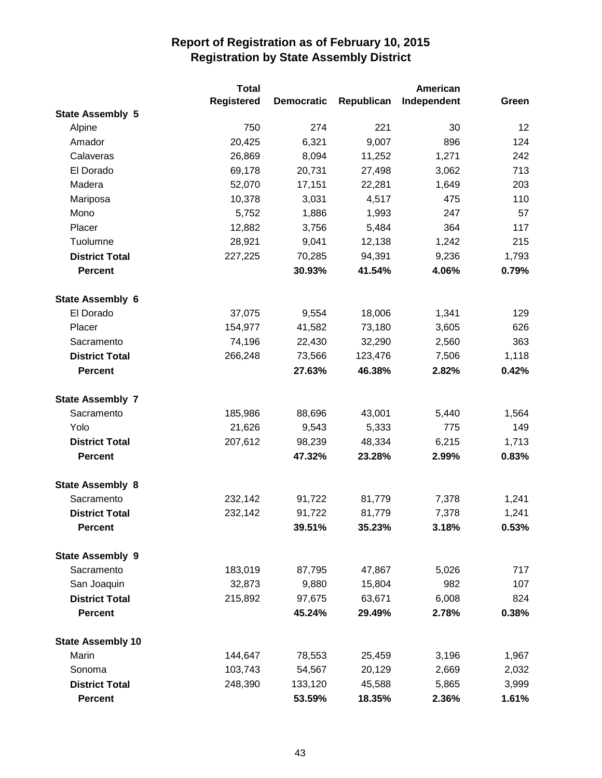|                          | <b>Total</b>      |                   |            | American    |       |
|--------------------------|-------------------|-------------------|------------|-------------|-------|
|                          | <b>Registered</b> | <b>Democratic</b> | Republican | Independent | Green |
| <b>State Assembly 5</b>  |                   |                   |            |             |       |
| Alpine                   | 750               | 274               | 221        | 30          | 12    |
| Amador                   | 20,425            | 6,321             | 9,007      | 896         | 124   |
| Calaveras                | 26,869            | 8,094             | 11,252     | 1,271       | 242   |
| El Dorado                | 69,178            | 20,731            | 27,498     | 3,062       | 713   |
| Madera                   | 52,070            | 17,151            | 22,281     | 1,649       | 203   |
| Mariposa                 | 10,378            | 3,031             | 4,517      | 475         | 110   |
| Mono                     | 5,752             | 1,886             | 1,993      | 247         | 57    |
| Placer                   | 12,882            | 3,756             | 5,484      | 364         | 117   |
| Tuolumne                 | 28,921            | 9,041             | 12,138     | 1,242       | 215   |
| <b>District Total</b>    | 227,225           | 70,285            | 94,391     | 9,236       | 1,793 |
| <b>Percent</b>           |                   | 30.93%            | 41.54%     | 4.06%       | 0.79% |
| <b>State Assembly 6</b>  |                   |                   |            |             |       |
| El Dorado                | 37,075            | 9,554             | 18,006     | 1,341       | 129   |
| Placer                   | 154,977           | 41,582            | 73,180     | 3,605       | 626   |
| Sacramento               | 74,196            | 22,430            | 32,290     | 2,560       | 363   |
| <b>District Total</b>    | 266,248           | 73,566            | 123,476    | 7,506       | 1,118 |
| <b>Percent</b>           |                   | 27.63%            | 46.38%     | 2.82%       | 0.42% |
| <b>State Assembly 7</b>  |                   |                   |            |             |       |
| Sacramento               | 185,986           | 88,696            | 43,001     | 5,440       | 1,564 |
| Yolo                     | 21,626            | 9,543             | 5,333      | 775         | 149   |
| <b>District Total</b>    | 207,612           | 98,239            | 48,334     | 6,215       | 1,713 |
| <b>Percent</b>           |                   | 47.32%            | 23.28%     | 2.99%       | 0.83% |
| <b>State Assembly 8</b>  |                   |                   |            |             |       |
| Sacramento               | 232,142           | 91,722            | 81,779     | 7,378       | 1,241 |
| <b>District Total</b>    | 232,142           | 91,722            | 81,779     | 7,378       | 1,241 |
| <b>Percent</b>           |                   | 39.51%            | 35.23%     | 3.18%       | 0.53% |
| <b>State Assembly 9</b>  |                   |                   |            |             |       |
| Sacramento               | 183,019           | 87,795            | 47,867     | 5,026       | 717   |
| San Joaquin              | 32,873            | 9,880             | 15,804     | 982         | 107   |
| <b>District Total</b>    | 215,892           | 97,675            | 63,671     | 6,008       | 824   |
| <b>Percent</b>           |                   | 45.24%            | 29.49%     | 2.78%       | 0.38% |
| <b>State Assembly 10</b> |                   |                   |            |             |       |
| Marin                    | 144,647           | 78,553            | 25,459     | 3,196       | 1,967 |
| Sonoma                   | 103,743           | 54,567            | 20,129     | 2,669       | 2,032 |
| <b>District Total</b>    | 248,390           | 133,120           | 45,588     | 5,865       | 3,999 |
| <b>Percent</b>           |                   | 53.59%            | 18.35%     | 2.36%       | 1.61% |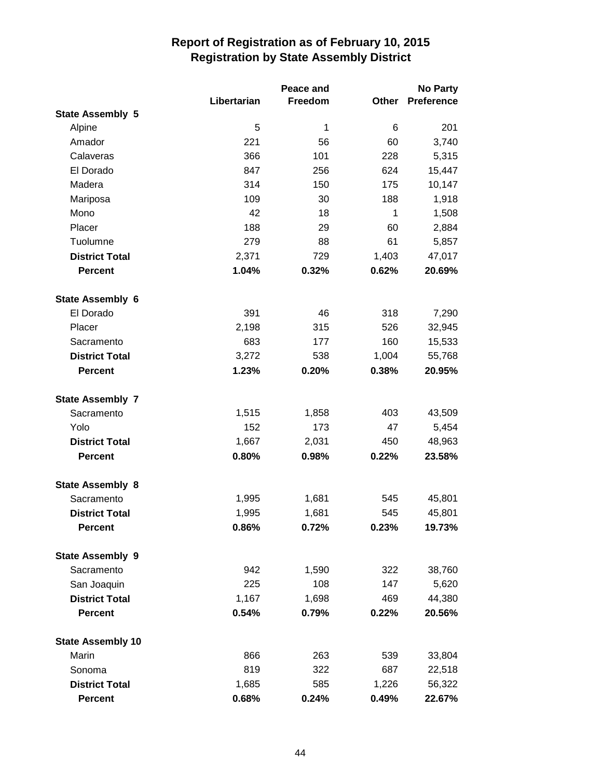|                          |             | Peace and |       | No Party          |
|--------------------------|-------------|-----------|-------|-------------------|
|                          | Libertarian | Freedom   | Other | <b>Preference</b> |
| <b>State Assembly 5</b>  |             |           |       |                   |
| Alpine                   | 5           | 1         | 6     | 201               |
| Amador                   | 221         | 56        | 60    | 3,740             |
| Calaveras                | 366         | 101       | 228   | 5,315             |
| El Dorado                | 847         | 256       | 624   | 15,447            |
| Madera                   | 314         | 150       | 175   | 10,147            |
| Mariposa                 | 109         | 30        | 188   | 1,918             |
| Mono                     | 42          | 18        | 1     | 1,508             |
| Placer                   | 188         | 29        | 60    | 2,884             |
| Tuolumne                 | 279         | 88        | 61    | 5,857             |
| <b>District Total</b>    | 2,371       | 729       | 1,403 | 47,017            |
| <b>Percent</b>           | 1.04%       | 0.32%     | 0.62% | 20.69%            |
| <b>State Assembly 6</b>  |             |           |       |                   |
| El Dorado                | 391         | 46        | 318   | 7,290             |
| Placer                   | 2,198       | 315       | 526   | 32,945            |
| Sacramento               | 683         | 177       | 160   | 15,533            |
| <b>District Total</b>    | 3,272       | 538       | 1,004 | 55,768            |
| <b>Percent</b>           | 1.23%       | 0.20%     | 0.38% | 20.95%            |
| <b>State Assembly 7</b>  |             |           |       |                   |
| Sacramento               | 1,515       | 1,858     | 403   | 43,509            |
| Yolo                     | 152         | 173       | 47    | 5,454             |
| <b>District Total</b>    | 1,667       | 2,031     | 450   | 48,963            |
| <b>Percent</b>           | 0.80%       | 0.98%     | 0.22% | 23.58%            |
| <b>State Assembly 8</b>  |             |           |       |                   |
| Sacramento               | 1,995       | 1,681     | 545   | 45,801            |
| <b>District Total</b>    | 1,995       | 1,681     | 545   | 45,801            |
| <b>Percent</b>           | 0.86%       | 0.72%     | 0.23% | 19.73%            |
| <b>State Assembly 9</b>  |             |           |       |                   |
| Sacramento               | 942         | 1,590     | 322   | 38,760            |
| San Joaquin              | 225         | 108       | 147   | 5,620             |
| <b>District Total</b>    | 1,167       | 1,698     | 469   | 44,380            |
| <b>Percent</b>           | 0.54%       | 0.79%     | 0.22% | 20.56%            |
| <b>State Assembly 10</b> |             |           |       |                   |
| Marin                    | 866         | 263       | 539   | 33,804            |
| Sonoma                   | 819         | 322       | 687   | 22,518            |
| <b>District Total</b>    | 1,685       | 585       | 1,226 | 56,322            |
| <b>Percent</b>           | 0.68%       | 0.24%     | 0.49% | 22.67%            |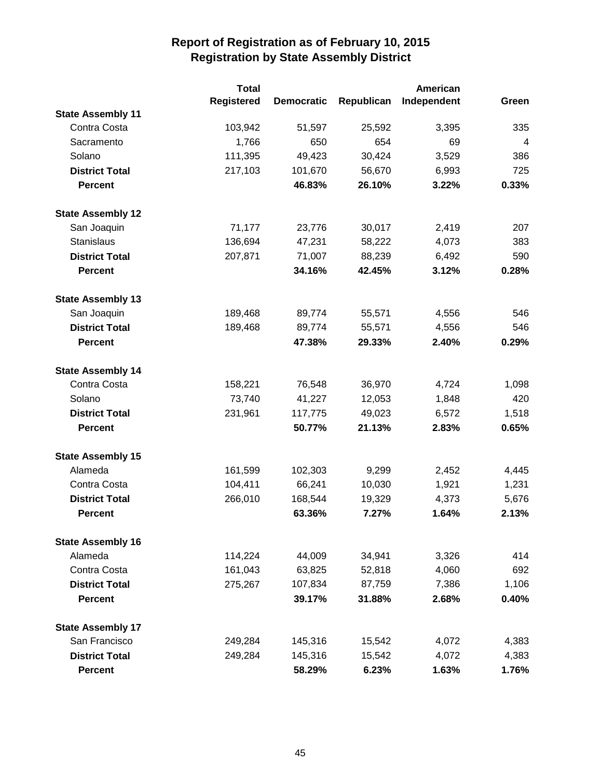|                          | <b>Total</b>      |                   |            | American    |                |
|--------------------------|-------------------|-------------------|------------|-------------|----------------|
|                          | <b>Registered</b> | <b>Democratic</b> | Republican | Independent | Green          |
| <b>State Assembly 11</b> |                   |                   |            |             |                |
| Contra Costa             | 103,942           | 51,597            | 25,592     | 3,395       | 335            |
| Sacramento               | 1,766             | 650               | 654        | 69          | $\overline{4}$ |
| Solano                   | 111,395           | 49,423            | 30,424     | 3,529       | 386            |
| <b>District Total</b>    | 217,103           | 101,670           | 56,670     | 6,993       | 725            |
| <b>Percent</b>           |                   | 46.83%            | 26.10%     | 3.22%       | 0.33%          |
| <b>State Assembly 12</b> |                   |                   |            |             |                |
| San Joaquin              | 71,177            | 23,776            | 30,017     | 2,419       | 207            |
| <b>Stanislaus</b>        | 136,694           | 47,231            | 58,222     | 4,073       | 383            |
| <b>District Total</b>    | 207,871           | 71,007            | 88,239     | 6,492       | 590            |
| <b>Percent</b>           |                   | 34.16%            | 42.45%     | 3.12%       | 0.28%          |
| <b>State Assembly 13</b> |                   |                   |            |             |                |
| San Joaquin              | 189,468           | 89,774            | 55,571     | 4,556       | 546            |
| <b>District Total</b>    | 189,468           | 89,774            | 55,571     | 4,556       | 546            |
| <b>Percent</b>           |                   | 47.38%            | 29.33%     | 2.40%       | 0.29%          |
| <b>State Assembly 14</b> |                   |                   |            |             |                |
| Contra Costa             | 158,221           | 76,548            | 36,970     | 4,724       | 1,098          |
| Solano                   | 73,740            | 41,227            | 12,053     | 1,848       | 420            |
| <b>District Total</b>    | 231,961           | 117,775           | 49,023     | 6,572       | 1,518          |
| <b>Percent</b>           |                   | 50.77%            | 21.13%     | 2.83%       | 0.65%          |
| <b>State Assembly 15</b> |                   |                   |            |             |                |
| Alameda                  | 161,599           | 102,303           | 9,299      | 2,452       | 4,445          |
| Contra Costa             | 104,411           | 66,241            | 10,030     | 1,921       | 1,231          |
| <b>District Total</b>    | 266,010           | 168,544           | 19,329     | 4,373       | 5,676          |
| <b>Percent</b>           |                   | 63.36%            | 7.27%      | 1.64%       | 2.13%          |
| <b>State Assembly 16</b> |                   |                   |            |             |                |
| Alameda                  | 114,224           | 44,009            | 34,941     | 3,326       | 414            |
| Contra Costa             | 161,043           | 63,825            | 52,818     | 4,060       | 692            |
| <b>District Total</b>    | 275,267           | 107,834           | 87,759     | 7,386       | 1,106          |
| <b>Percent</b>           |                   | 39.17%            | 31.88%     | 2.68%       | 0.40%          |
| <b>State Assembly 17</b> |                   |                   |            |             |                |
| San Francisco            | 249,284           | 145,316           | 15,542     | 4,072       | 4,383          |
| <b>District Total</b>    | 249,284           | 145,316           | 15,542     | 4,072       | 4,383          |
| <b>Percent</b>           |                   | 58.29%            | 6.23%      | 1.63%       | 1.76%          |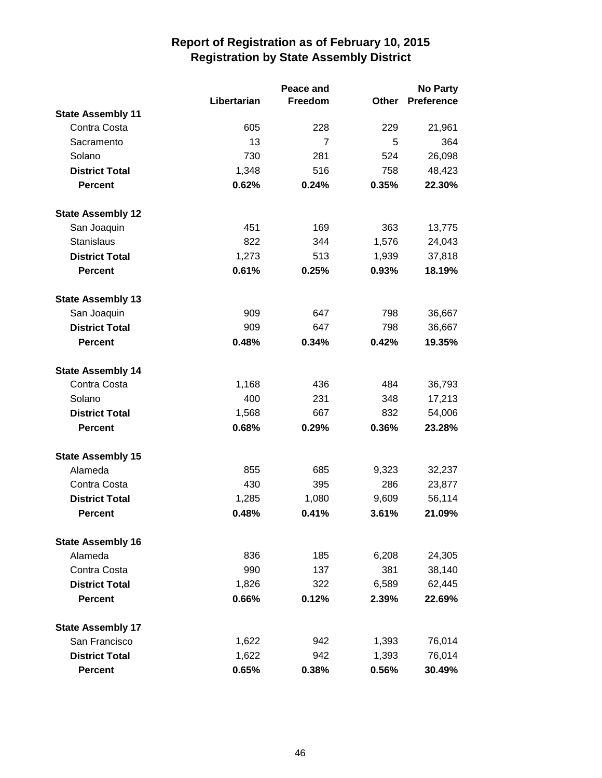|                          |             | Peace and      |       | <b>No Party</b>   |  |
|--------------------------|-------------|----------------|-------|-------------------|--|
|                          | Libertarian | Freedom        | Other | <b>Preference</b> |  |
| <b>State Assembly 11</b> |             |                |       |                   |  |
| Contra Costa             | 605         | 228            | 229   | 21,961            |  |
| Sacramento               | 13          | $\overline{7}$ | 5     | 364               |  |
| Solano                   | 730         | 281            | 524   | 26,098            |  |
| <b>District Total</b>    | 1,348       | 516            | 758   | 48,423            |  |
| <b>Percent</b>           | 0.62%       | 0.24%          | 0.35% | 22.30%            |  |
| <b>State Assembly 12</b> |             |                |       |                   |  |
| San Joaquin              | 451         | 169            | 363   | 13,775            |  |
| <b>Stanislaus</b>        | 822         | 344            | 1,576 | 24,043            |  |
| <b>District Total</b>    | 1,273       | 513            | 1,939 | 37,818            |  |
| <b>Percent</b>           | 0.61%       | 0.25%          | 0.93% | 18.19%            |  |
| <b>State Assembly 13</b> |             |                |       |                   |  |
| San Joaquin              | 909         | 647            | 798   | 36,667            |  |
| <b>District Total</b>    | 909         | 647            | 798   | 36,667            |  |
| <b>Percent</b>           | 0.48%       | 0.34%          | 0.42% | 19.35%            |  |
| <b>State Assembly 14</b> |             |                |       |                   |  |
| Contra Costa             | 1,168       | 436            | 484   | 36,793            |  |
| Solano                   | 400         | 231            | 348   | 17,213            |  |
| <b>District Total</b>    | 1,568       | 667            | 832   | 54,006            |  |
| <b>Percent</b>           | 0.68%       | 0.29%          | 0.36% | 23.28%            |  |
| <b>State Assembly 15</b> |             |                |       |                   |  |
| Alameda                  | 855         | 685            | 9,323 | 32,237            |  |
| Contra Costa             | 430         | 395            | 286   | 23,877            |  |
| <b>District Total</b>    | 1,285       | 1,080          | 9,609 | 56,114            |  |
| <b>Percent</b>           | 0.48%       | 0.41%          | 3.61% | 21.09%            |  |
| <b>State Assembly 16</b> |             |                |       |                   |  |
| Alameda                  | 836         | 185            | 6,208 | 24,305            |  |
| Contra Costa             | 990         | 137            | 381   | 38,140            |  |
| <b>District Total</b>    | 1,826       | 322            | 6,589 | 62,445            |  |
| <b>Percent</b>           | 0.66%       | 0.12%          | 2.39% | 22.69%            |  |
| <b>State Assembly 17</b> |             |                |       |                   |  |
| San Francisco            | 1,622       | 942            | 1,393 | 76,014            |  |
| <b>District Total</b>    | 1,622       | 942            | 1,393 | 76,014            |  |
| <b>Percent</b>           | 0.65%       | 0.38%          | 0.56% | 30.49%            |  |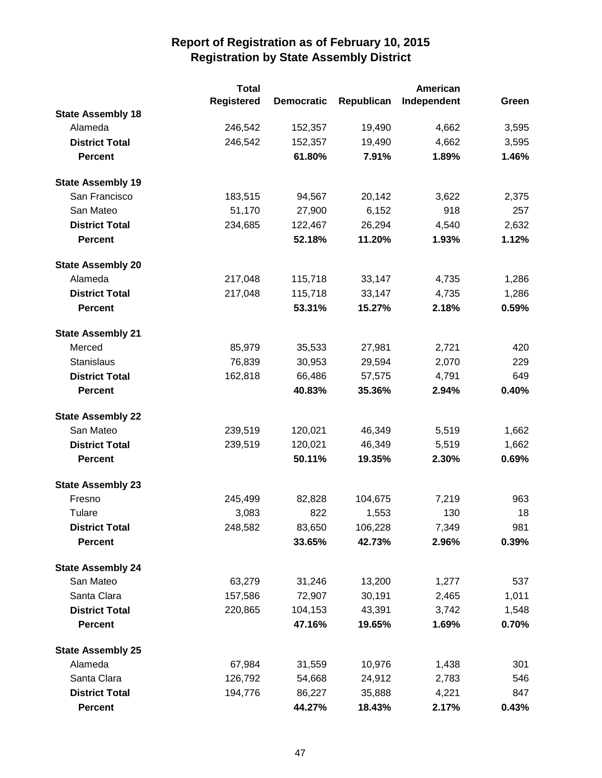|                          | <b>Total</b>      |                   |            | American    |       |
|--------------------------|-------------------|-------------------|------------|-------------|-------|
|                          | <b>Registered</b> | <b>Democratic</b> | Republican | Independent | Green |
| <b>State Assembly 18</b> |                   |                   |            |             |       |
| Alameda                  | 246,542           | 152,357           | 19,490     | 4,662       | 3,595 |
| <b>District Total</b>    | 246,542           | 152,357           | 19,490     | 4,662       | 3,595 |
| <b>Percent</b>           |                   | 61.80%            | 7.91%      | 1.89%       | 1.46% |
| <b>State Assembly 19</b> |                   |                   |            |             |       |
| San Francisco            | 183,515           | 94,567            | 20,142     | 3,622       | 2,375 |
| San Mateo                | 51,170            | 27,900            | 6,152      | 918         | 257   |
| <b>District Total</b>    | 234,685           | 122,467           | 26,294     | 4,540       | 2,632 |
| <b>Percent</b>           |                   | 52.18%            | 11.20%     | 1.93%       | 1.12% |
| <b>State Assembly 20</b> |                   |                   |            |             |       |
| Alameda                  | 217,048           | 115,718           | 33,147     | 4,735       | 1,286 |
| <b>District Total</b>    | 217,048           | 115,718           | 33,147     | 4,735       | 1,286 |
| <b>Percent</b>           |                   | 53.31%            | 15.27%     | 2.18%       | 0.59% |
| <b>State Assembly 21</b> |                   |                   |            |             |       |
| Merced                   | 85,979            | 35,533            | 27,981     | 2,721       | 420   |
| Stanislaus               | 76,839            | 30,953            | 29,594     | 2,070       | 229   |
| <b>District Total</b>    | 162,818           | 66,486            | 57,575     | 4,791       | 649   |
| <b>Percent</b>           |                   | 40.83%            | 35.36%     | 2.94%       | 0.40% |
| <b>State Assembly 22</b> |                   |                   |            |             |       |
| San Mateo                | 239,519           | 120,021           | 46,349     | 5,519       | 1,662 |
| <b>District Total</b>    | 239,519           | 120,021           | 46,349     | 5,519       | 1,662 |
| <b>Percent</b>           |                   | 50.11%            | 19.35%     | 2.30%       | 0.69% |
| <b>State Assembly 23</b> |                   |                   |            |             |       |
| Fresno                   | 245,499           | 82,828            | 104,675    | 7,219       | 963   |
| Tulare                   | 3,083             | 822               | 1,553      | 130         | 18    |
| <b>District Total</b>    | 248,582           | 83,650            | 106,228    | 7,349       | 981   |
| <b>Percent</b>           |                   | 33.65%            | 42.73%     | 2.96%       | 0.39% |
| <b>State Assembly 24</b> |                   |                   |            |             |       |
| San Mateo                | 63,279            | 31,246            | 13,200     | 1,277       | 537   |
| Santa Clara              | 157,586           | 72,907            | 30,191     | 2,465       | 1,011 |
| <b>District Total</b>    | 220,865           | 104,153           | 43,391     | 3,742       | 1,548 |
| <b>Percent</b>           |                   | 47.16%            | 19.65%     | 1.69%       | 0.70% |
| <b>State Assembly 25</b> |                   |                   |            |             |       |
| Alameda                  | 67,984            | 31,559            | 10,976     | 1,438       | 301   |
| Santa Clara              | 126,792           | 54,668            | 24,912     | 2,783       | 546   |
| <b>District Total</b>    | 194,776           | 86,227            | 35,888     | 4,221       | 847   |
| <b>Percent</b>           |                   | 44.27%            | 18.43%     | 2.17%       | 0.43% |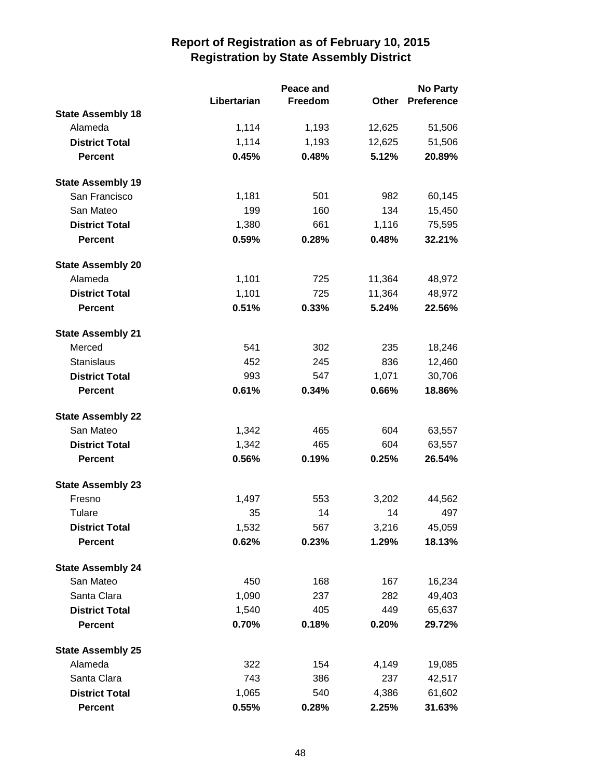|                          |             | Peace and | <b>No Party</b> |                   |  |
|--------------------------|-------------|-----------|-----------------|-------------------|--|
|                          | Libertarian | Freedom   | Other           | <b>Preference</b> |  |
| <b>State Assembly 18</b> |             |           |                 |                   |  |
| Alameda                  | 1,114       | 1,193     | 12,625          | 51,506            |  |
| <b>District Total</b>    | 1,114       | 1,193     | 12,625          | 51,506            |  |
| <b>Percent</b>           | 0.45%       | 0.48%     | 5.12%           | 20.89%            |  |
| <b>State Assembly 19</b> |             |           |                 |                   |  |
| San Francisco            | 1,181       | 501       | 982             | 60,145            |  |
| San Mateo                | 199         | 160       | 134             | 15,450            |  |
| <b>District Total</b>    | 1,380       | 661       | 1,116           | 75,595            |  |
| <b>Percent</b>           | 0.59%       | 0.28%     | 0.48%           | 32.21%            |  |
| <b>State Assembly 20</b> |             |           |                 |                   |  |
| Alameda                  | 1,101       | 725       | 11,364          | 48,972            |  |
| <b>District Total</b>    | 1,101       | 725       | 11,364          | 48,972            |  |
| <b>Percent</b>           | 0.51%       | 0.33%     | 5.24%           | 22.56%            |  |
| <b>State Assembly 21</b> |             |           |                 |                   |  |
| Merced                   | 541         | 302       | 235             | 18,246            |  |
| Stanislaus               | 452         | 245       | 836             | 12,460            |  |
| <b>District Total</b>    | 993         | 547       | 1,071           | 30,706            |  |
| <b>Percent</b>           | 0.61%       | 0.34%     | 0.66%           | 18.86%            |  |
| <b>State Assembly 22</b> |             |           |                 |                   |  |
| San Mateo                | 1,342       | 465       | 604             | 63,557            |  |
| <b>District Total</b>    | 1,342       | 465       | 604             | 63,557            |  |
| <b>Percent</b>           | 0.56%       | 0.19%     | 0.25%           | 26.54%            |  |
| <b>State Assembly 23</b> |             |           |                 |                   |  |
| Fresno                   | 1,497       | 553       | 3,202           | 44,562            |  |
| Tulare                   | 35          | 14        | 14              | 497               |  |
| <b>District Total</b>    | 1,532       | 567       | 3,216           | 45,059            |  |
| <b>Percent</b>           | 0.62%       | 0.23%     | 1.29%           | 18.13%            |  |
| <b>State Assembly 24</b> |             |           |                 |                   |  |
| San Mateo                | 450         | 168       | 167             | 16,234            |  |
| Santa Clara              | 1,090       | 237       | 282             | 49,403            |  |
| <b>District Total</b>    | 1,540       | 405       | 449             | 65,637            |  |
| <b>Percent</b>           | 0.70%       | 0.18%     | 0.20%           | 29.72%            |  |
| <b>State Assembly 25</b> |             |           |                 |                   |  |
| Alameda                  | 322         | 154       | 4,149           | 19,085            |  |
| Santa Clara              | 743         | 386       | 237             | 42,517            |  |
| <b>District Total</b>    | 1,065       | 540       | 4,386           | 61,602            |  |
| Percent                  | 0.55%       | 0.28%     | 2.25%           | 31.63%            |  |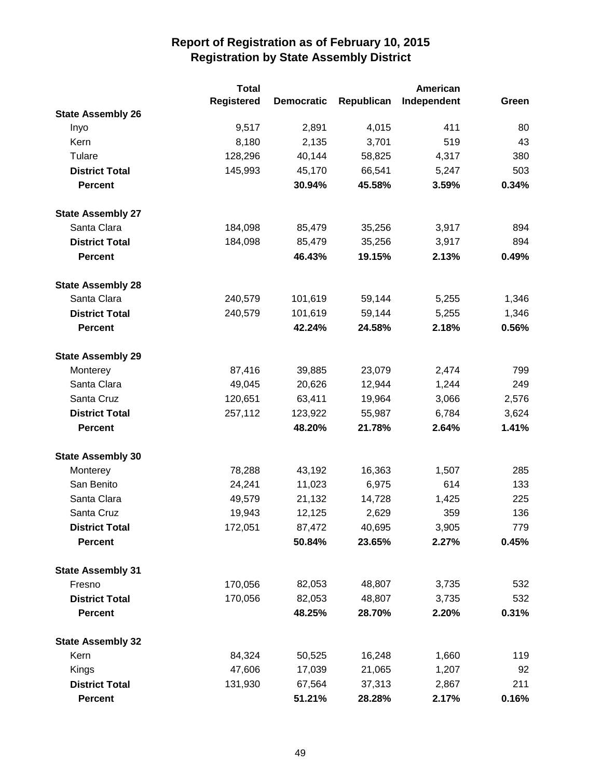|                          | <b>Total</b>      |                   |            | American    |       |
|--------------------------|-------------------|-------------------|------------|-------------|-------|
|                          | <b>Registered</b> | <b>Democratic</b> | Republican | Independent | Green |
| <b>State Assembly 26</b> |                   |                   |            |             |       |
| Inyo                     | 9,517             | 2,891             | 4,015      | 411         | 80    |
| Kern                     | 8,180             | 2,135             | 3,701      | 519         | 43    |
| Tulare                   | 128,296           | 40,144            | 58,825     | 4,317       | 380   |
| <b>District Total</b>    | 145,993           | 45,170            | 66,541     | 5,247       | 503   |
| <b>Percent</b>           |                   | 30.94%            | 45.58%     | 3.59%       | 0.34% |
| <b>State Assembly 27</b> |                   |                   |            |             |       |
| Santa Clara              | 184,098           | 85,479            | 35,256     | 3,917       | 894   |
| <b>District Total</b>    | 184,098           | 85,479            | 35,256     | 3,917       | 894   |
| <b>Percent</b>           |                   | 46.43%            | 19.15%     | 2.13%       | 0.49% |
| <b>State Assembly 28</b> |                   |                   |            |             |       |
| Santa Clara              | 240,579           | 101,619           | 59,144     | 5,255       | 1,346 |
| <b>District Total</b>    | 240,579           | 101,619           | 59,144     | 5,255       | 1,346 |
| <b>Percent</b>           |                   | 42.24%            | 24.58%     | 2.18%       | 0.56% |
| <b>State Assembly 29</b> |                   |                   |            |             |       |
| Monterey                 | 87,416            | 39,885            | 23,079     | 2,474       | 799   |
| Santa Clara              | 49,045            | 20,626            | 12,944     | 1,244       | 249   |
| Santa Cruz               | 120,651           | 63,411            | 19,964     | 3,066       | 2,576 |
| <b>District Total</b>    | 257,112           | 123,922           | 55,987     | 6,784       | 3,624 |
| <b>Percent</b>           |                   | 48.20%            | 21.78%     | 2.64%       | 1.41% |
| <b>State Assembly 30</b> |                   |                   |            |             |       |
| Monterey                 | 78,288            | 43,192            | 16,363     | 1,507       | 285   |
| San Benito               | 24,241            | 11,023            | 6,975      | 614         | 133   |
| Santa Clara              | 49,579            | 21,132            | 14,728     | 1,425       | 225   |
| Santa Cruz               | 19,943            | 12,125            | 2,629      | 359         | 136   |
| <b>District Total</b>    | 172,051           | 87,472            | 40,695     | 3,905       | 779   |
| <b>Percent</b>           |                   | 50.84%            | 23.65%     | 2.27%       | 0.45% |
| <b>State Assembly 31</b> |                   |                   |            |             |       |
| Fresno                   | 170,056           | 82,053            | 48,807     | 3,735       | 532   |
| <b>District Total</b>    | 170,056           | 82,053            | 48,807     | 3,735       | 532   |
| <b>Percent</b>           |                   | 48.25%            | 28.70%     | 2.20%       | 0.31% |
| <b>State Assembly 32</b> |                   |                   |            |             |       |
| Kern                     | 84,324            | 50,525            | 16,248     | 1,660       | 119   |
| Kings                    | 47,606            | 17,039            | 21,065     | 1,207       | 92    |
| <b>District Total</b>    | 131,930           | 67,564            | 37,313     | 2,867       | 211   |
| <b>Percent</b>           |                   | 51.21%            | 28.28%     | 2.17%       | 0.16% |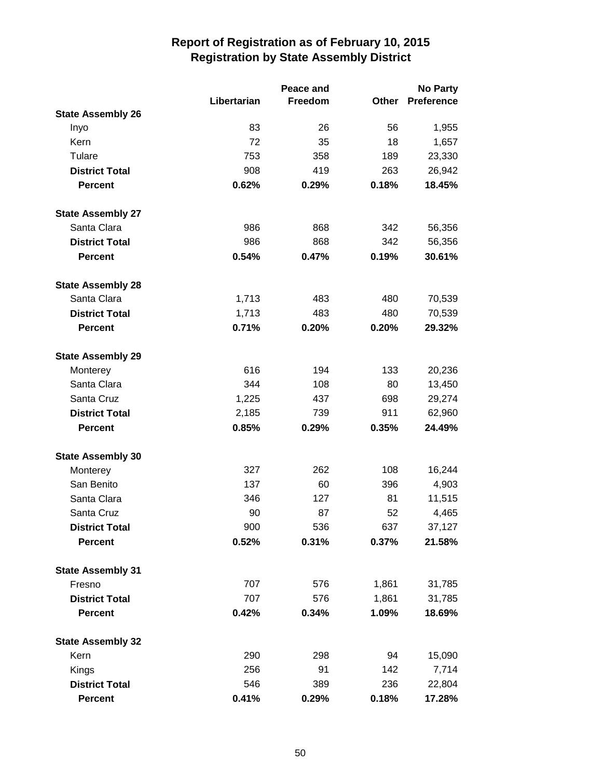|                          | Peace and   |         |       | <b>No Party</b>   |
|--------------------------|-------------|---------|-------|-------------------|
|                          | Libertarian | Freedom | Other | <b>Preference</b> |
| <b>State Assembly 26</b> |             |         |       |                   |
| Inyo                     | 83          | 26      | 56    | 1,955             |
| Kern                     | 72          | 35      | 18    | 1,657             |
| Tulare                   | 753         | 358     | 189   | 23,330            |
| <b>District Total</b>    | 908         | 419     | 263   | 26,942            |
| <b>Percent</b>           | 0.62%       | 0.29%   | 0.18% | 18.45%            |
| <b>State Assembly 27</b> |             |         |       |                   |
| Santa Clara              | 986         | 868     | 342   | 56,356            |
| <b>District Total</b>    | 986         | 868     | 342   | 56,356            |
| <b>Percent</b>           | 0.54%       | 0.47%   | 0.19% | 30.61%            |
| <b>State Assembly 28</b> |             |         |       |                   |
| Santa Clara              | 1,713       | 483     | 480   | 70,539            |
| <b>District Total</b>    | 1,713       | 483     | 480   | 70,539            |
| <b>Percent</b>           | 0.71%       | 0.20%   | 0.20% | 29.32%            |
| <b>State Assembly 29</b> |             |         |       |                   |
| Monterey                 | 616         | 194     | 133   | 20,236            |
| Santa Clara              | 344         | 108     | 80    | 13,450            |
| Santa Cruz               | 1,225       | 437     | 698   | 29,274            |
| <b>District Total</b>    | 2,185       | 739     | 911   | 62,960            |
| <b>Percent</b>           | 0.85%       | 0.29%   | 0.35% | 24.49%            |
| <b>State Assembly 30</b> |             |         |       |                   |
| Monterey                 | 327         | 262     | 108   | 16,244            |
| San Benito               | 137         | 60      | 396   | 4,903             |
| Santa Clara              | 346         | 127     | 81    | 11,515            |
| Santa Cruz               | 90          | 87      | 52    | 4,465             |
| <b>District Total</b>    | 900         | 536     | 637   | 37,127            |
| <b>Percent</b>           | 0.52%       | 0.31%   | 0.37% | 21.58%            |
| <b>State Assembly 31</b> |             |         |       |                   |
| Fresno                   | 707         | 576     | 1,861 | 31,785            |
| <b>District Total</b>    | 707         | 576     | 1,861 | 31,785            |
| <b>Percent</b>           | 0.42%       | 0.34%   | 1.09% | 18.69%            |
| <b>State Assembly 32</b> |             |         |       |                   |
| Kern                     | 290         | 298     | 94    | 15,090            |
| Kings                    | 256         | 91      | 142   | 7,714             |
| <b>District Total</b>    | 546         | 389     | 236   | 22,804            |
| <b>Percent</b>           | 0.41%       | 0.29%   | 0.18% | 17.28%            |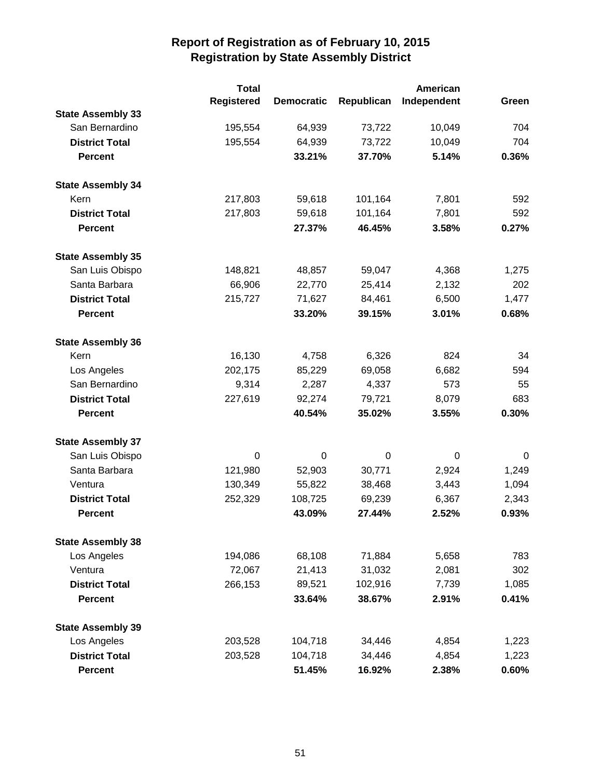|                          | <b>Total</b>      |                   |            | <b>American</b> |       |
|--------------------------|-------------------|-------------------|------------|-----------------|-------|
|                          | <b>Registered</b> | <b>Democratic</b> | Republican | Independent     | Green |
| <b>State Assembly 33</b> |                   |                   |            |                 |       |
| San Bernardino           | 195,554           | 64,939            | 73,722     | 10,049          | 704   |
| <b>District Total</b>    | 195,554           | 64,939            | 73,722     | 10,049          | 704   |
| <b>Percent</b>           |                   | 33.21%            | 37.70%     | 5.14%           | 0.36% |
| <b>State Assembly 34</b> |                   |                   |            |                 |       |
| Kern                     | 217,803           | 59,618            | 101,164    | 7,801           | 592   |
| <b>District Total</b>    | 217,803           | 59,618            | 101,164    | 7,801           | 592   |
| <b>Percent</b>           |                   | 27.37%            | 46.45%     | 3.58%           | 0.27% |
| <b>State Assembly 35</b> |                   |                   |            |                 |       |
| San Luis Obispo          | 148,821           | 48,857            | 59,047     | 4,368           | 1,275 |
| Santa Barbara            | 66,906            | 22,770            | 25,414     | 2,132           | 202   |
| <b>District Total</b>    | 215,727           | 71,627            | 84,461     | 6,500           | 1,477 |
| <b>Percent</b>           |                   | 33.20%            | 39.15%     | 3.01%           | 0.68% |
| <b>State Assembly 36</b> |                   |                   |            |                 |       |
| Kern                     | 16,130            | 4,758             | 6,326      | 824             | 34    |
| Los Angeles              | 202,175           | 85,229            | 69,058     | 6,682           | 594   |
| San Bernardino           | 9,314             | 2,287             | 4,337      | 573             | 55    |
| <b>District Total</b>    | 227,619           | 92,274            | 79,721     | 8,079           | 683   |
| <b>Percent</b>           |                   | 40.54%            | 35.02%     | 3.55%           | 0.30% |
| <b>State Assembly 37</b> |                   |                   |            |                 |       |
| San Luis Obispo          | 0                 | $\mathbf 0$       | 0          | 0               | 0     |
| Santa Barbara            | 121,980           | 52,903            | 30,771     | 2,924           | 1,249 |
| Ventura                  | 130,349           | 55,822            | 38,468     | 3,443           | 1,094 |
| <b>District Total</b>    | 252,329           | 108,725           | 69,239     | 6,367           | 2,343 |
| <b>Percent</b>           |                   | 43.09%            | 27.44%     | 2.52%           | 0.93% |
| <b>State Assembly 38</b> |                   |                   |            |                 |       |
| Los Angeles              | 194,086           | 68,108            | 71,884     | 5,658           | 783   |
| Ventura                  | 72,067            | 21,413            | 31,032     | 2,081           | 302   |
| <b>District Total</b>    | 266,153           | 89,521            | 102,916    | 7,739           | 1,085 |
| <b>Percent</b>           |                   | 33.64%            | 38.67%     | 2.91%           | 0.41% |
| <b>State Assembly 39</b> |                   |                   |            |                 |       |
| Los Angeles              | 203,528           | 104,718           | 34,446     | 4,854           | 1,223 |
| <b>District Total</b>    | 203,528           | 104,718           | 34,446     | 4,854           | 1,223 |
| <b>Percent</b>           |                   | 51.45%            | 16.92%     | 2.38%           | 0.60% |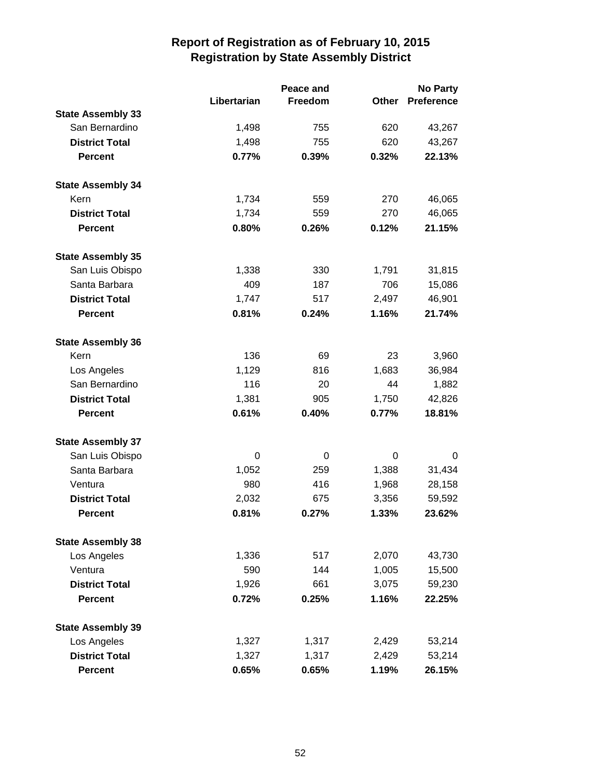|                          |             | Peace and |              | <b>No Party</b>   |  |
|--------------------------|-------------|-----------|--------------|-------------------|--|
|                          | Libertarian | Freedom   | <b>Other</b> | <b>Preference</b> |  |
| <b>State Assembly 33</b> |             |           |              |                   |  |
| San Bernardino           | 1,498       | 755       | 620          | 43,267            |  |
| <b>District Total</b>    | 1,498       | 755       | 620          | 43,267            |  |
| <b>Percent</b>           | 0.77%       | 0.39%     | 0.32%        | 22.13%            |  |
| <b>State Assembly 34</b> |             |           |              |                   |  |
| Kern                     | 1,734       | 559       | 270          | 46,065            |  |
| <b>District Total</b>    | 1,734       | 559       | 270          | 46,065            |  |
| <b>Percent</b>           | 0.80%       | 0.26%     | 0.12%        | 21.15%            |  |
| <b>State Assembly 35</b> |             |           |              |                   |  |
| San Luis Obispo          | 1,338       | 330       | 1,791        | 31,815            |  |
| Santa Barbara            | 409         | 187       | 706          | 15,086            |  |
| <b>District Total</b>    | 1,747       | 517       | 2,497        | 46,901            |  |
| <b>Percent</b>           | 0.81%       | 0.24%     | 1.16%        | 21.74%            |  |
| <b>State Assembly 36</b> |             |           |              |                   |  |
| Kern                     | 136         | 69        | 23           | 3,960             |  |
| Los Angeles              | 1,129       | 816       | 1,683        | 36,984            |  |
| San Bernardino           | 116         | 20        | 44           | 1,882             |  |
| <b>District Total</b>    | 1,381       | 905       | 1,750        | 42,826            |  |
| <b>Percent</b>           | 0.61%       | 0.40%     | 0.77%        | 18.81%            |  |
| <b>State Assembly 37</b> |             |           |              |                   |  |
| San Luis Obispo          | 0           | 0         | 0            | 0                 |  |
| Santa Barbara            | 1,052       | 259       | 1,388        | 31,434            |  |
| Ventura                  | 980         | 416       | 1,968        | 28,158            |  |
| <b>District Total</b>    | 2,032       | 675       | 3,356        | 59,592            |  |
| <b>Percent</b>           | 0.81%       | 0.27%     | 1.33%        | 23.62%            |  |
| <b>State Assembly 38</b> |             |           |              |                   |  |
| Los Angeles              | 1,336       | 517       | 2,070        | 43,730            |  |
| Ventura                  | 590         | 144       | 1,005        | 15,500            |  |
| <b>District Total</b>    | 1,926       | 661       | 3,075        | 59,230            |  |
| <b>Percent</b>           | 0.72%       | 0.25%     | 1.16%        | 22.25%            |  |
| <b>State Assembly 39</b> |             |           |              |                   |  |
| Los Angeles              | 1,327       | 1,317     | 2,429        | 53,214            |  |
| <b>District Total</b>    | 1,327       | 1,317     | 2,429        | 53,214            |  |
| <b>Percent</b>           | 0.65%       | 0.65%     | 1.19%        | 26.15%            |  |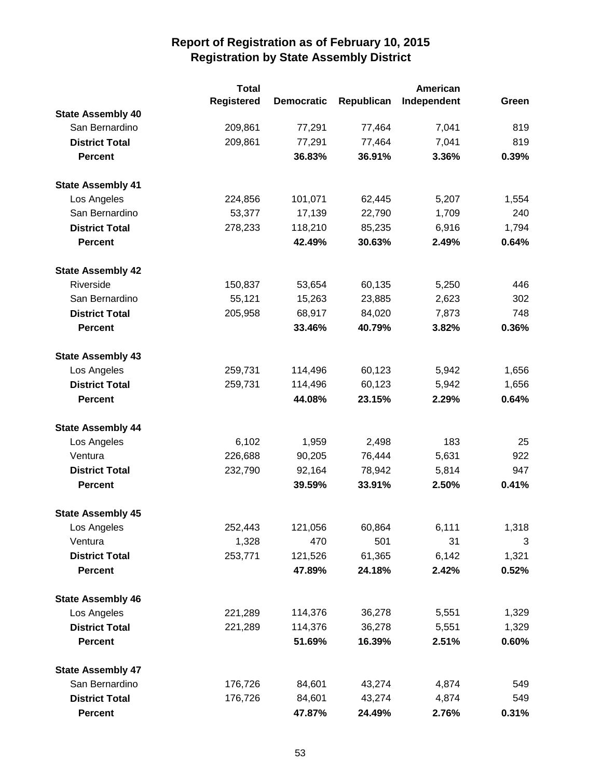|                          | <b>Total</b>      |                   |            |             |       |
|--------------------------|-------------------|-------------------|------------|-------------|-------|
|                          | <b>Registered</b> | <b>Democratic</b> | Republican | Independent | Green |
| <b>State Assembly 40</b> |                   |                   |            |             |       |
| San Bernardino           | 209,861           | 77,291            | 77,464     | 7,041       | 819   |
| <b>District Total</b>    | 209,861           | 77,291            | 77,464     | 7,041       | 819   |
| <b>Percent</b>           |                   | 36.83%            | 36.91%     | 3.36%       | 0.39% |
| <b>State Assembly 41</b> |                   |                   |            |             |       |
| Los Angeles              | 224,856           | 101,071           | 62,445     | 5,207       | 1,554 |
| San Bernardino           | 53,377            | 17,139            | 22,790     | 1,709       | 240   |
| <b>District Total</b>    | 278,233           | 118,210           | 85,235     | 6,916       | 1,794 |
| <b>Percent</b>           |                   | 42.49%            | 30.63%     | 2.49%       | 0.64% |
| <b>State Assembly 42</b> |                   |                   |            |             |       |
| Riverside                | 150,837           | 53,654            | 60,135     | 5,250       | 446   |
| San Bernardino           | 55,121            | 15,263            | 23,885     | 2,623       | 302   |
| <b>District Total</b>    | 205,958           | 68,917            | 84,020     | 7,873       | 748   |
| <b>Percent</b>           |                   | 33.46%            | 40.79%     | 3.82%       | 0.36% |
| <b>State Assembly 43</b> |                   |                   |            |             |       |
| Los Angeles              | 259,731           | 114,496           | 60,123     | 5,942       | 1,656 |
| <b>District Total</b>    | 259,731           | 114,496           | 60,123     | 5,942       | 1,656 |
| <b>Percent</b>           |                   | 44.08%            | 23.15%     | 2.29%       | 0.64% |
| <b>State Assembly 44</b> |                   |                   |            |             |       |
| Los Angeles              | 6,102             | 1,959             | 2,498      | 183         | 25    |
| Ventura                  | 226,688           | 90,205            | 76,444     | 5,631       | 922   |
| <b>District Total</b>    | 232,790           | 92,164            | 78,942     | 5,814       | 947   |
| <b>Percent</b>           |                   | 39.59%            | 33.91%     | 2.50%       | 0.41% |
| <b>State Assembly 45</b> |                   |                   |            |             |       |
| Los Angeles              | 252,443           | 121,056           | 60,864     | 6,111       | 1,318 |
| Ventura                  | 1,328             | 470               | 501        | 31          | 3     |
| <b>District Total</b>    | 253,771           | 121,526           | 61,365     | 6,142       | 1,321 |
| <b>Percent</b>           |                   | 47.89%            | 24.18%     | 2.42%       | 0.52% |
| <b>State Assembly 46</b> |                   |                   |            |             |       |
| Los Angeles              | 221,289           | 114,376           | 36,278     | 5,551       | 1,329 |
| <b>District Total</b>    | 221,289           | 114,376           | 36,278     | 5,551       | 1,329 |
| <b>Percent</b>           |                   | 51.69%            | 16.39%     | 2.51%       | 0.60% |
| <b>State Assembly 47</b> |                   |                   |            |             |       |
| San Bernardino           | 176,726           | 84,601            | 43,274     | 4,874       | 549   |
| <b>District Total</b>    | 176,726           | 84,601            | 43,274     | 4,874       | 549   |
| <b>Percent</b>           |                   | 47.87%            | 24.49%     | 2.76%       | 0.31% |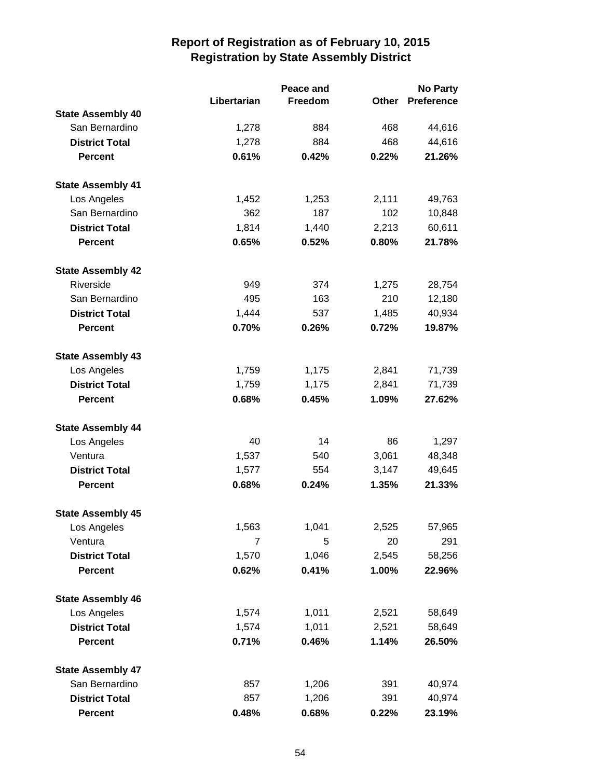|                          |                | Peace and |       | <b>No Party</b>   |  |
|--------------------------|----------------|-----------|-------|-------------------|--|
|                          | Libertarian    | Freedom   | Other | <b>Preference</b> |  |
| <b>State Assembly 40</b> |                |           |       |                   |  |
| San Bernardino           | 1,278          | 884       | 468   | 44,616            |  |
| <b>District Total</b>    | 1,278          | 884       | 468   | 44,616            |  |
| <b>Percent</b>           | 0.61%          | 0.42%     | 0.22% | 21.26%            |  |
| <b>State Assembly 41</b> |                |           |       |                   |  |
| Los Angeles              | 1,452          | 1,253     | 2,111 | 49,763            |  |
| San Bernardino           | 362            | 187       | 102   | 10,848            |  |
| <b>District Total</b>    | 1,814          | 1,440     | 2,213 | 60,611            |  |
| <b>Percent</b>           | 0.65%          | 0.52%     | 0.80% | 21.78%            |  |
| <b>State Assembly 42</b> |                |           |       |                   |  |
| Riverside                | 949            | 374       | 1,275 | 28,754            |  |
| San Bernardino           | 495            | 163       | 210   | 12,180            |  |
| <b>District Total</b>    | 1,444          | 537       | 1,485 | 40,934            |  |
| <b>Percent</b>           | 0.70%          | 0.26%     | 0.72% | 19.87%            |  |
| <b>State Assembly 43</b> |                |           |       |                   |  |
| Los Angeles              | 1,759          | 1,175     | 2,841 | 71,739            |  |
| <b>District Total</b>    | 1,759          | 1,175     | 2,841 | 71,739            |  |
| <b>Percent</b>           | 0.68%          | 0.45%     | 1.09% | 27.62%            |  |
| <b>State Assembly 44</b> |                |           |       |                   |  |
| Los Angeles              | 40             | 14        | 86    | 1,297             |  |
| Ventura                  | 1,537          | 540       | 3,061 | 48,348            |  |
| <b>District Total</b>    | 1,577          | 554       | 3,147 | 49,645            |  |
| <b>Percent</b>           | 0.68%          | 0.24%     | 1.35% | 21.33%            |  |
| <b>State Assembly 45</b> |                |           |       |                   |  |
| Los Angeles              | 1,563          | 1,041     | 2,525 | 57,965            |  |
| Ventura                  | $\overline{7}$ | 5         | 20    | 291               |  |
| <b>District Total</b>    | 1,570          | 1,046     | 2,545 | 58,256            |  |
| <b>Percent</b>           | 0.62%          | 0.41%     | 1.00% | 22.96%            |  |
| <b>State Assembly 46</b> |                |           |       |                   |  |
| Los Angeles              | 1,574          | 1,011     | 2,521 | 58,649            |  |
| <b>District Total</b>    | 1,574          | 1,011     | 2,521 | 58,649            |  |
| <b>Percent</b>           | 0.71%          | 0.46%     | 1.14% | 26.50%            |  |
| <b>State Assembly 47</b> |                |           |       |                   |  |
| San Bernardino           | 857            | 1,206     | 391   | 40,974            |  |
| <b>District Total</b>    | 857            | 1,206     | 391   | 40,974            |  |
| <b>Percent</b>           | 0.48%          | 0.68%     | 0.22% | 23.19%            |  |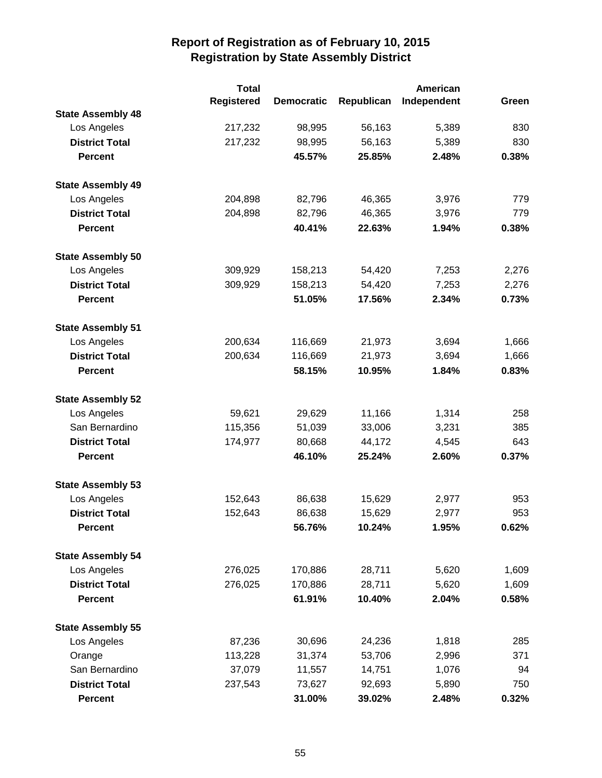|                          | <b>Total</b>      |                   |            | American    |       |
|--------------------------|-------------------|-------------------|------------|-------------|-------|
|                          | <b>Registered</b> | <b>Democratic</b> | Republican | Independent | Green |
| <b>State Assembly 48</b> |                   |                   |            |             |       |
| Los Angeles              | 217,232           | 98,995            | 56,163     | 5,389       | 830   |
| <b>District Total</b>    | 217,232           | 98,995            | 56,163     | 5,389       | 830   |
| <b>Percent</b>           |                   | 45.57%            | 25.85%     | 2.48%       | 0.38% |
| <b>State Assembly 49</b> |                   |                   |            |             |       |
| Los Angeles              | 204,898           | 82,796            | 46,365     | 3,976       | 779   |
| <b>District Total</b>    | 204,898           | 82,796            | 46,365     | 3,976       | 779   |
| <b>Percent</b>           |                   | 40.41%            | 22.63%     | 1.94%       | 0.38% |
| <b>State Assembly 50</b> |                   |                   |            |             |       |
| Los Angeles              | 309,929           | 158,213           | 54,420     | 7,253       | 2,276 |
| <b>District Total</b>    | 309,929           | 158,213           | 54,420     | 7,253       | 2,276 |
| <b>Percent</b>           |                   | 51.05%            | 17.56%     | 2.34%       | 0.73% |
| <b>State Assembly 51</b> |                   |                   |            |             |       |
| Los Angeles              | 200,634           | 116,669           | 21,973     | 3,694       | 1,666 |
| <b>District Total</b>    | 200,634           | 116,669           | 21,973     | 3,694       | 1,666 |
| <b>Percent</b>           |                   | 58.15%            | 10.95%     | 1.84%       | 0.83% |
| <b>State Assembly 52</b> |                   |                   |            |             |       |
| Los Angeles              | 59,621            | 29,629            | 11,166     | 1,314       | 258   |
| San Bernardino           | 115,356           | 51,039            | 33,006     | 3,231       | 385   |
| <b>District Total</b>    | 174,977           | 80,668            | 44,172     | 4,545       | 643   |
| <b>Percent</b>           |                   | 46.10%            | 25.24%     | 2.60%       | 0.37% |
| <b>State Assembly 53</b> |                   |                   |            |             |       |
| Los Angeles              | 152,643           | 86,638            | 15,629     | 2,977       | 953   |
| <b>District Total</b>    | 152,643           | 86,638            | 15,629     | 2,977       | 953   |
| <b>Percent</b>           |                   | 56.76%            | 10.24%     | 1.95%       | 0.62% |
| <b>State Assembly 54</b> |                   |                   |            |             |       |
| Los Angeles              | 276,025           | 170,886           | 28,711     | 5,620       | 1,609 |
| <b>District Total</b>    | 276,025           | 170,886           | 28,711     | 5,620       | 1,609 |
| <b>Percent</b>           |                   | 61.91%            | 10.40%     | 2.04%       | 0.58% |
| <b>State Assembly 55</b> |                   |                   |            |             |       |
| Los Angeles              | 87,236            | 30,696            | 24,236     | 1,818       | 285   |
| Orange                   | 113,228           | 31,374            | 53,706     | 2,996       | 371   |
| San Bernardino           | 37,079            | 11,557            | 14,751     | 1,076       | 94    |
| <b>District Total</b>    | 237,543           | 73,627            | 92,693     | 5,890       | 750   |
| <b>Percent</b>           |                   | 31.00%            | 39.02%     | 2.48%       | 0.32% |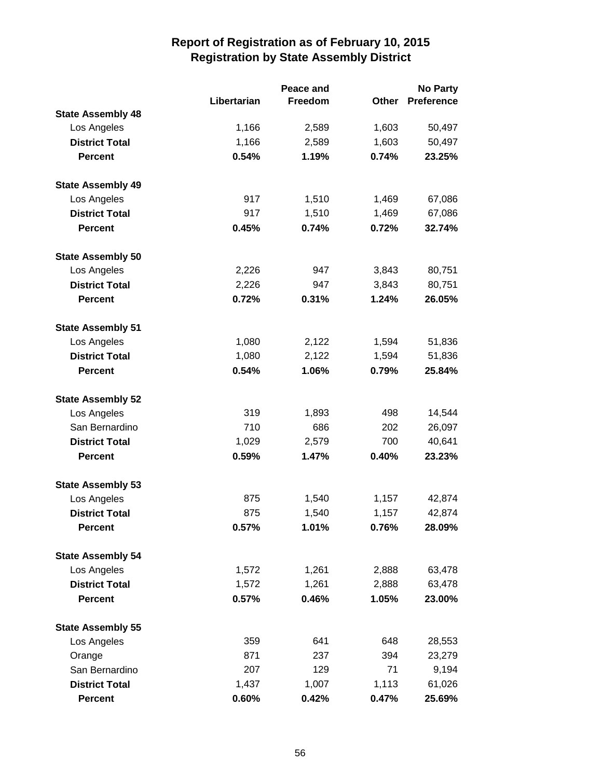|                          |             | Peace and |              | <b>No Party</b>   |  |
|--------------------------|-------------|-----------|--------------|-------------------|--|
|                          | Libertarian | Freedom   | <b>Other</b> | <b>Preference</b> |  |
| <b>State Assembly 48</b> |             |           |              |                   |  |
| Los Angeles              | 1,166       | 2,589     | 1,603        | 50,497            |  |
| <b>District Total</b>    | 1,166       | 2,589     | 1,603        | 50,497            |  |
| <b>Percent</b>           | 0.54%       | 1.19%     | 0.74%        | 23.25%            |  |
| <b>State Assembly 49</b> |             |           |              |                   |  |
| Los Angeles              | 917         | 1,510     | 1,469        | 67,086            |  |
| <b>District Total</b>    | 917         | 1,510     | 1,469        | 67,086            |  |
| <b>Percent</b>           | 0.45%       | 0.74%     | 0.72%        | 32.74%            |  |
| <b>State Assembly 50</b> |             |           |              |                   |  |
| Los Angeles              | 2,226       | 947       | 3,843        | 80,751            |  |
| <b>District Total</b>    | 2,226       | 947       | 3,843        | 80,751            |  |
| <b>Percent</b>           | 0.72%       | 0.31%     | 1.24%        | 26.05%            |  |
| <b>State Assembly 51</b> |             |           |              |                   |  |
| Los Angeles              | 1,080       | 2,122     | 1,594        | 51,836            |  |
| <b>District Total</b>    | 1,080       | 2,122     | 1,594        | 51,836            |  |
| <b>Percent</b>           | 0.54%       | 1.06%     | 0.79%        | 25.84%            |  |
| <b>State Assembly 52</b> |             |           |              |                   |  |
| Los Angeles              | 319         | 1,893     | 498          | 14,544            |  |
| San Bernardino           | 710         | 686       | 202          | 26,097            |  |
| <b>District Total</b>    | 1,029       | 2,579     | 700          | 40,641            |  |
| <b>Percent</b>           | 0.59%       | 1.47%     | 0.40%        | 23.23%            |  |
| <b>State Assembly 53</b> |             |           |              |                   |  |
| Los Angeles              | 875         | 1,540     | 1,157        | 42,874            |  |
| <b>District Total</b>    | 875         | 1,540     | 1,157        | 42,874            |  |
| <b>Percent</b>           | $0.57\%$    | 1.01%     | 0.76%        | 28.09%            |  |
| <b>State Assembly 54</b> |             |           |              |                   |  |
| Los Angeles              | 1,572       | 1,261     | 2,888        | 63,478            |  |
| <b>District Total</b>    | 1,572       | 1,261     | 2,888        | 63,478            |  |
| <b>Percent</b>           | 0.57%       | 0.46%     | 1.05%        | 23.00%            |  |
| <b>State Assembly 55</b> |             |           |              |                   |  |
| Los Angeles              | 359         | 641       | 648          | 28,553            |  |
| Orange                   | 871         | 237       | 394          | 23,279            |  |
| San Bernardino           | 207         | 129       | 71           | 9,194             |  |
| <b>District Total</b>    | 1,437       | 1,007     | 1,113        | 61,026            |  |
| <b>Percent</b>           | 0.60%       | 0.42%     | 0.47%        | 25.69%            |  |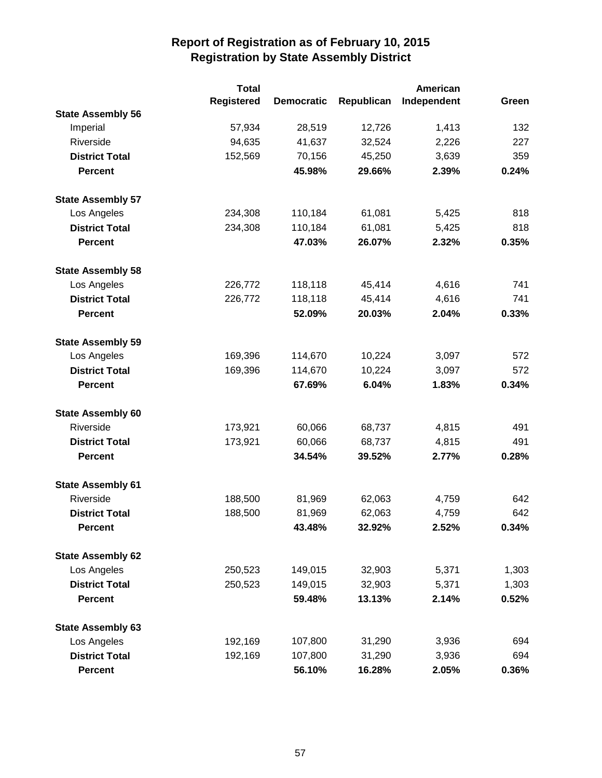|                          | <b>Total</b>      |                   |            | American    |       |
|--------------------------|-------------------|-------------------|------------|-------------|-------|
|                          | <b>Registered</b> | <b>Democratic</b> | Republican | Independent | Green |
| <b>State Assembly 56</b> |                   |                   |            |             |       |
| Imperial                 | 57,934            | 28,519            | 12,726     | 1,413       | 132   |
| Riverside                | 94,635            | 41,637            | 32,524     | 2,226       | 227   |
| <b>District Total</b>    | 152,569           | 70,156            | 45,250     | 3,639       | 359   |
| <b>Percent</b>           |                   | 45.98%            | 29.66%     | 2.39%       | 0.24% |
| <b>State Assembly 57</b> |                   |                   |            |             |       |
| Los Angeles              | 234,308           | 110,184           | 61,081     | 5,425       | 818   |
| <b>District Total</b>    | 234,308           | 110,184           | 61,081     | 5,425       | 818   |
| <b>Percent</b>           |                   | 47.03%            | 26.07%     | 2.32%       | 0.35% |
| <b>State Assembly 58</b> |                   |                   |            |             |       |
| Los Angeles              | 226,772           | 118,118           | 45,414     | 4,616       | 741   |
| <b>District Total</b>    | 226,772           | 118,118           | 45,414     | 4,616       | 741   |
| <b>Percent</b>           |                   | 52.09%            | 20.03%     | 2.04%       | 0.33% |
| <b>State Assembly 59</b> |                   |                   |            |             |       |
| Los Angeles              | 169,396           | 114,670           | 10,224     | 3,097       | 572   |
| <b>District Total</b>    | 169,396           | 114,670           | 10,224     | 3,097       | 572   |
| <b>Percent</b>           |                   | 67.69%            | 6.04%      | 1.83%       | 0.34% |
| <b>State Assembly 60</b> |                   |                   |            |             |       |
| Riverside                | 173,921           | 60,066            | 68,737     | 4,815       | 491   |
| <b>District Total</b>    | 173,921           | 60,066            | 68,737     | 4,815       | 491   |
| <b>Percent</b>           |                   | 34.54%            | 39.52%     | 2.77%       | 0.28% |
| <b>State Assembly 61</b> |                   |                   |            |             |       |
| Riverside                | 188,500           | 81,969            | 62,063     | 4,759       | 642   |
| <b>District Total</b>    | 188,500           | 81,969            | 62,063     | 4,759       | 642   |
| <b>Percent</b>           |                   | 43.48%            | 32.92%     | 2.52%       | 0.34% |
| <b>State Assembly 62</b> |                   |                   |            |             |       |
| Los Angeles              | 250,523           | 149,015           | 32,903     | 5,371       | 1,303 |
| <b>District Total</b>    | 250,523           | 149,015           | 32,903     | 5,371       | 1,303 |
| <b>Percent</b>           |                   | 59.48%            | 13.13%     | 2.14%       | 0.52% |
| <b>State Assembly 63</b> |                   |                   |            |             |       |
| Los Angeles              | 192,169           | 107,800           | 31,290     | 3,936       | 694   |
| <b>District Total</b>    | 192,169           | 107,800           | 31,290     | 3,936       | 694   |
| <b>Percent</b>           |                   | 56.10%            | 16.28%     | 2.05%       | 0.36% |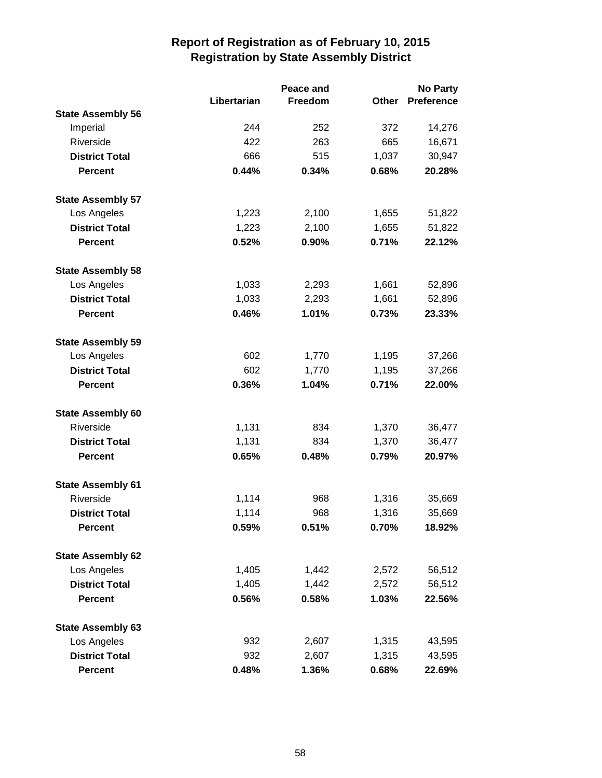|                          |             | Peace and | <b>No Party</b> |                   |  |
|--------------------------|-------------|-----------|-----------------|-------------------|--|
|                          | Libertarian | Freedom   | Other           | <b>Preference</b> |  |
| <b>State Assembly 56</b> |             |           |                 |                   |  |
| Imperial                 | 244         | 252       | 372             | 14,276            |  |
| Riverside                | 422         | 263       | 665             | 16,671            |  |
| <b>District Total</b>    | 666         | 515       | 1,037           | 30,947            |  |
| <b>Percent</b>           | 0.44%       | 0.34%     | 0.68%           | 20.28%            |  |
| <b>State Assembly 57</b> |             |           |                 |                   |  |
| Los Angeles              | 1,223       | 2,100     | 1,655           | 51,822            |  |
| <b>District Total</b>    | 1,223       | 2,100     | 1,655           | 51,822            |  |
| <b>Percent</b>           | 0.52%       | 0.90%     | 0.71%           | 22.12%            |  |
| <b>State Assembly 58</b> |             |           |                 |                   |  |
| Los Angeles              | 1,033       | 2,293     | 1,661           | 52,896            |  |
| <b>District Total</b>    | 1,033       | 2,293     | 1,661           | 52,896            |  |
| <b>Percent</b>           | 0.46%       | 1.01%     | 0.73%           | 23.33%            |  |
| <b>State Assembly 59</b> |             |           |                 |                   |  |
| Los Angeles              | 602         | 1,770     | 1,195           | 37,266            |  |
| <b>District Total</b>    | 602         | 1,770     | 1,195           | 37,266            |  |
| <b>Percent</b>           | 0.36%       | 1.04%     | 0.71%           | 22.00%            |  |
| <b>State Assembly 60</b> |             |           |                 |                   |  |
| Riverside                | 1,131       | 834       | 1,370           | 36,477            |  |
| <b>District Total</b>    | 1,131       | 834       | 1,370           | 36,477            |  |
| <b>Percent</b>           | 0.65%       | 0.48%     | 0.79%           | 20.97%            |  |
| <b>State Assembly 61</b> |             |           |                 |                   |  |
| Riverside                | 1,114       | 968       | 1,316           | 35,669            |  |
| <b>District Total</b>    | 1,114       | 968       | 1,316           | 35,669            |  |
| <b>Percent</b>           | 0.59%       | $0.51\%$  | 0.70%           | 18.92%            |  |
| <b>State Assembly 62</b> |             |           |                 |                   |  |
| Los Angeles              | 1,405       | 1,442     | 2,572           | 56,512            |  |
| <b>District Total</b>    | 1,405       | 1,442     | 2,572           | 56,512            |  |
| <b>Percent</b>           | 0.56%       | 0.58%     | 1.03%           | 22.56%            |  |
| <b>State Assembly 63</b> |             |           |                 |                   |  |
| Los Angeles              | 932         | 2,607     | 1,315           | 43,595            |  |
| <b>District Total</b>    | 932         | 2,607     | 1,315           | 43,595            |  |
| <b>Percent</b>           | 0.48%       | 1.36%     | 0.68%           | 22.69%            |  |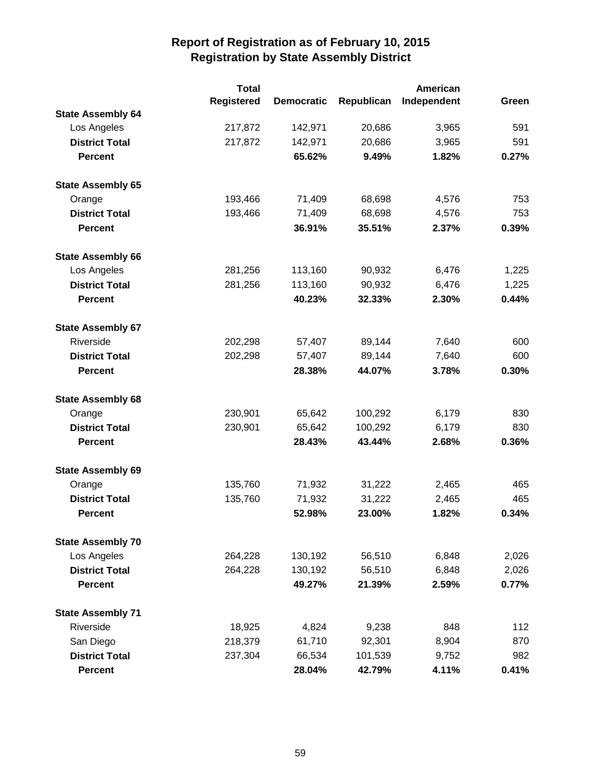|                          | <b>Total</b> | American          |            |             |       |
|--------------------------|--------------|-------------------|------------|-------------|-------|
|                          | Registered   | <b>Democratic</b> | Republican | Independent | Green |
| <b>State Assembly 64</b> |              |                   |            |             |       |
| Los Angeles              | 217,872      | 142,971           | 20,686     | 3,965       | 591   |
| <b>District Total</b>    | 217,872      | 142,971           | 20,686     | 3,965       | 591   |
| <b>Percent</b>           |              | 65.62%            | 9.49%      | 1.82%       | 0.27% |
| <b>State Assembly 65</b> |              |                   |            |             |       |
| Orange                   | 193,466      | 71,409            | 68,698     | 4,576       | 753   |
| <b>District Total</b>    | 193,466      | 71,409            | 68,698     | 4,576       | 753   |
| <b>Percent</b>           |              | 36.91%            | 35.51%     | 2.37%       | 0.39% |
| <b>State Assembly 66</b> |              |                   |            |             |       |
| Los Angeles              | 281,256      | 113,160           | 90,932     | 6,476       | 1,225 |
| <b>District Total</b>    | 281,256      | 113,160           | 90,932     | 6,476       | 1,225 |
| <b>Percent</b>           |              | 40.23%            | 32.33%     | 2.30%       | 0.44% |
| <b>State Assembly 67</b> |              |                   |            |             |       |
| Riverside                | 202,298      | 57,407            | 89,144     | 7,640       | 600   |
| <b>District Total</b>    | 202,298      | 57,407            | 89,144     | 7,640       | 600   |
| <b>Percent</b>           |              | 28.38%            | 44.07%     | 3.78%       | 0.30% |
| <b>State Assembly 68</b> |              |                   |            |             |       |
| Orange                   | 230,901      | 65,642            | 100,292    | 6,179       | 830   |
| <b>District Total</b>    | 230,901      | 65,642            | 100,292    | 6,179       | 830   |
| <b>Percent</b>           |              | 28.43%            | 43.44%     | 2.68%       | 0.36% |
| <b>State Assembly 69</b> |              |                   |            |             |       |
| Orange                   | 135,760      | 71,932            | 31,222     | 2,465       | 465   |
| <b>District Total</b>    | 135,760      | 71,932            | 31,222     | 2,465       | 465   |
| <b>Percent</b>           |              | 52.98%            | 23.00%     | 1.82%       | 0.34% |
| <b>State Assembly 70</b> |              |                   |            |             |       |
| Los Angeles              | 264,228      | 130,192           | 56,510     | 6,848       | 2,026 |
| <b>District Total</b>    | 264,228      | 130,192           | 56,510     | 6,848       | 2,026 |
| <b>Percent</b>           |              | 49.27%            | 21.39%     | 2.59%       | 0.77% |
| <b>State Assembly 71</b> |              |                   |            |             |       |
| Riverside                | 18,925       | 4,824             | 9,238      | 848         | 112   |
| San Diego                | 218,379      | 61,710            | 92,301     | 8,904       | 870   |
| <b>District Total</b>    | 237,304      | 66,534            | 101,539    | 9,752       | 982   |
| <b>Percent</b>           |              | 28.04%            | 42.79%     | 4.11%       | 0.41% |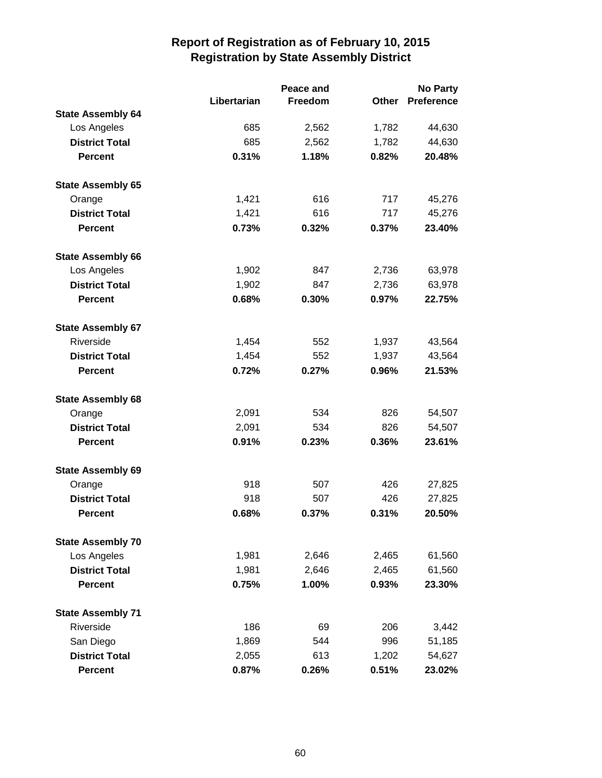|                          | Peace and   |         |              | <b>No Party</b>   |
|--------------------------|-------------|---------|--------------|-------------------|
|                          | Libertarian | Freedom | <b>Other</b> | <b>Preference</b> |
| <b>State Assembly 64</b> |             |         |              |                   |
| Los Angeles              | 685         | 2,562   | 1,782        | 44,630            |
| <b>District Total</b>    | 685         | 2,562   | 1,782        | 44,630            |
| <b>Percent</b>           | 0.31%       | 1.18%   | 0.82%        | 20.48%            |
| <b>State Assembly 65</b> |             |         |              |                   |
| Orange                   | 1,421       | 616     | 717          | 45,276            |
| <b>District Total</b>    | 1,421       | 616     | 717          | 45,276            |
| <b>Percent</b>           | 0.73%       | 0.32%   | 0.37%        | 23.40%            |
| <b>State Assembly 66</b> |             |         |              |                   |
| Los Angeles              | 1,902       | 847     | 2,736        | 63,978            |
| <b>District Total</b>    | 1,902       | 847     | 2,736        | 63,978            |
| <b>Percent</b>           | 0.68%       | 0.30%   | 0.97%        | 22.75%            |
| <b>State Assembly 67</b> |             |         |              |                   |
| Riverside                | 1,454       | 552     | 1,937        | 43,564            |
| <b>District Total</b>    | 1,454       | 552     | 1,937        | 43,564            |
| <b>Percent</b>           | 0.72%       | 0.27%   | 0.96%        | 21.53%            |
| <b>State Assembly 68</b> |             |         |              |                   |
| Orange                   | 2,091       | 534     | 826          | 54,507            |
| <b>District Total</b>    | 2,091       | 534     | 826          | 54,507            |
| <b>Percent</b>           | 0.91%       | 0.23%   | 0.36%        | 23.61%            |
| <b>State Assembly 69</b> |             |         |              |                   |
| Orange                   | 918         | 507     | 426          | 27,825            |
| <b>District Total</b>    | 918         | 507     | 426          | 27,825            |
| <b>Percent</b>           | 0.68%       | 0.37%   | 0.31%        | 20.50%            |
| <b>State Assembly 70</b> |             |         |              |                   |
| Los Angeles              | 1,981       | 2,646   | 2,465        | 61,560            |
| <b>District Total</b>    | 1,981       | 2,646   | 2,465        | 61,560            |
| <b>Percent</b>           | 0.75%       | 1.00%   | 0.93%        | 23.30%            |
| <b>State Assembly 71</b> |             |         |              |                   |
| Riverside                | 186         | 69      | 206          | 3,442             |
| San Diego                | 1,869       | 544     | 996          | 51,185            |
| <b>District Total</b>    | 2,055       | 613     | 1,202        | 54,627            |
| <b>Percent</b>           | 0.87%       | 0.26%   | 0.51%        | 23.02%            |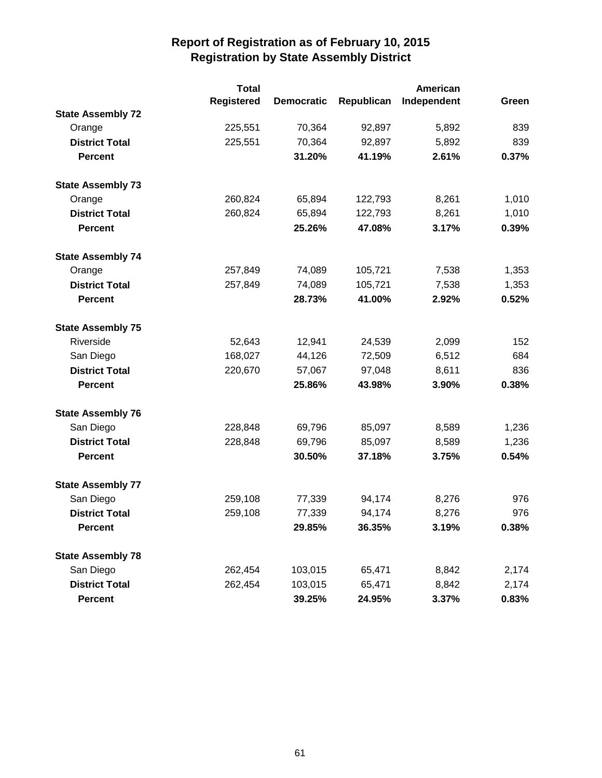|                          | <b>Total</b>      |                   |            | American    |       |
|--------------------------|-------------------|-------------------|------------|-------------|-------|
|                          | <b>Registered</b> | <b>Democratic</b> | Republican | Independent | Green |
| <b>State Assembly 72</b> |                   |                   |            |             |       |
| Orange                   | 225,551           | 70,364            | 92,897     | 5,892       | 839   |
| <b>District Total</b>    | 225,551           | 70,364            | 92,897     | 5,892       | 839   |
| <b>Percent</b>           |                   | 31.20%            | 41.19%     | 2.61%       | 0.37% |
| <b>State Assembly 73</b> |                   |                   |            |             |       |
| Orange                   | 260,824           | 65,894            | 122,793    | 8,261       | 1,010 |
| <b>District Total</b>    | 260,824           | 65,894            | 122,793    | 8,261       | 1,010 |
| <b>Percent</b>           |                   | 25.26%            | 47.08%     | 3.17%       | 0.39% |
| <b>State Assembly 74</b> |                   |                   |            |             |       |
| Orange                   | 257,849           | 74,089            | 105,721    | 7,538       | 1,353 |
| <b>District Total</b>    | 257,849           | 74,089            | 105,721    | 7,538       | 1,353 |
| <b>Percent</b>           |                   | 28.73%            | 41.00%     | 2.92%       | 0.52% |
| <b>State Assembly 75</b> |                   |                   |            |             |       |
| Riverside                | 52,643            | 12,941            | 24,539     | 2,099       | 152   |
| San Diego                | 168,027           | 44,126            | 72,509     | 6,512       | 684   |
| <b>District Total</b>    | 220,670           | 57,067            | 97,048     | 8,611       | 836   |
| <b>Percent</b>           |                   | 25.86%            | 43.98%     | 3.90%       | 0.38% |
| <b>State Assembly 76</b> |                   |                   |            |             |       |
| San Diego                | 228,848           | 69,796            | 85,097     | 8,589       | 1,236 |
| <b>District Total</b>    | 228,848           | 69,796            | 85,097     | 8,589       | 1,236 |
| <b>Percent</b>           |                   | 30.50%            | 37.18%     | 3.75%       | 0.54% |
| <b>State Assembly 77</b> |                   |                   |            |             |       |
| San Diego                | 259,108           | 77,339            | 94,174     | 8,276       | 976   |
| <b>District Total</b>    | 259,108           | 77,339            | 94,174     | 8,276       | 976   |
| <b>Percent</b>           |                   | 29.85%            | 36.35%     | 3.19%       | 0.38% |
| <b>State Assembly 78</b> |                   |                   |            |             |       |
| San Diego                | 262,454           | 103,015           | 65,471     | 8,842       | 2,174 |
| <b>District Total</b>    | 262,454           | 103,015           | 65,471     | 8,842       | 2,174 |
| <b>Percent</b>           |                   | 39.25%            | 24.95%     | 3.37%       | 0.83% |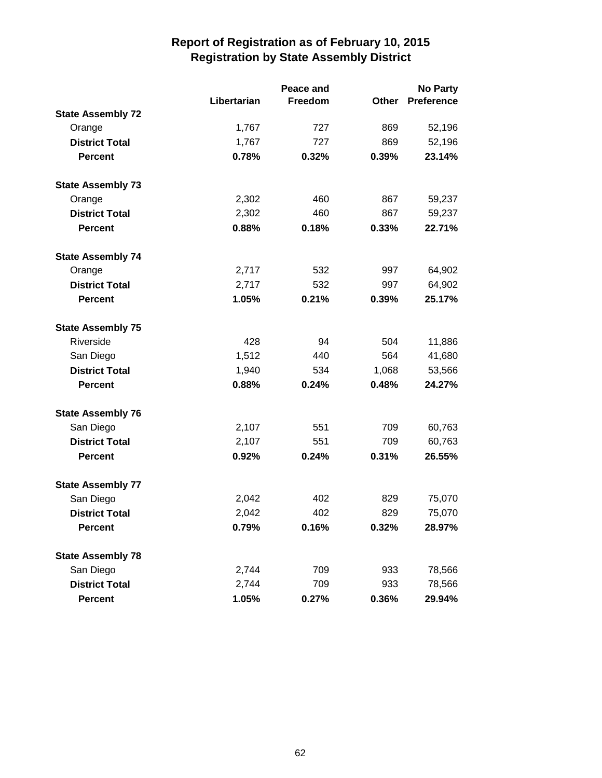|                          |             | <b>No Party</b> |       |                   |
|--------------------------|-------------|-----------------|-------|-------------------|
|                          | Libertarian | Freedom         | Other | <b>Preference</b> |
| <b>State Assembly 72</b> |             |                 |       |                   |
| Orange                   | 1,767       | 727             | 869   | 52,196            |
| <b>District Total</b>    | 1,767       | 727             | 869   | 52,196            |
| <b>Percent</b>           | 0.78%       | 0.32%           | 0.39% | 23.14%            |
| <b>State Assembly 73</b> |             |                 |       |                   |
| Orange                   | 2,302       | 460             | 867   | 59,237            |
| <b>District Total</b>    | 2,302       | 460             | 867   | 59,237            |
| <b>Percent</b>           | 0.88%       | 0.18%           | 0.33% | 22.71%            |
| <b>State Assembly 74</b> |             |                 |       |                   |
| Orange                   | 2,717       | 532             | 997   | 64,902            |
| <b>District Total</b>    | 2,717       | 532             | 997   | 64,902            |
| <b>Percent</b>           | 1.05%       | 0.21%           | 0.39% | 25.17%            |
| <b>State Assembly 75</b> |             |                 |       |                   |
| Riverside                | 428         | 94              | 504   | 11,886            |
| San Diego                | 1,512       | 440             | 564   | 41,680            |
| <b>District Total</b>    | 1,940       | 534             | 1,068 | 53,566            |
| <b>Percent</b>           | 0.88%       | 0.24%           | 0.48% | 24.27%            |
| <b>State Assembly 76</b> |             |                 |       |                   |
| San Diego                | 2,107       | 551             | 709   | 60,763            |
| <b>District Total</b>    | 2,107       | 551             | 709   | 60,763            |
| <b>Percent</b>           | 0.92%       | 0.24%           | 0.31% | 26.55%            |
| <b>State Assembly 77</b> |             |                 |       |                   |
| San Diego                | 2,042       | 402             | 829   | 75,070            |
| <b>District Total</b>    | 2,042       | 402             | 829   | 75,070            |
| <b>Percent</b>           | 0.79%       | 0.16%           | 0.32% | 28.97%            |
| <b>State Assembly 78</b> |             |                 |       |                   |
| San Diego                | 2,744       | 709             | 933   | 78,566            |
| <b>District Total</b>    | 2,744       | 709             | 933   | 78,566            |
| <b>Percent</b>           | 1.05%       | 0.27%           | 0.36% | 29.94%            |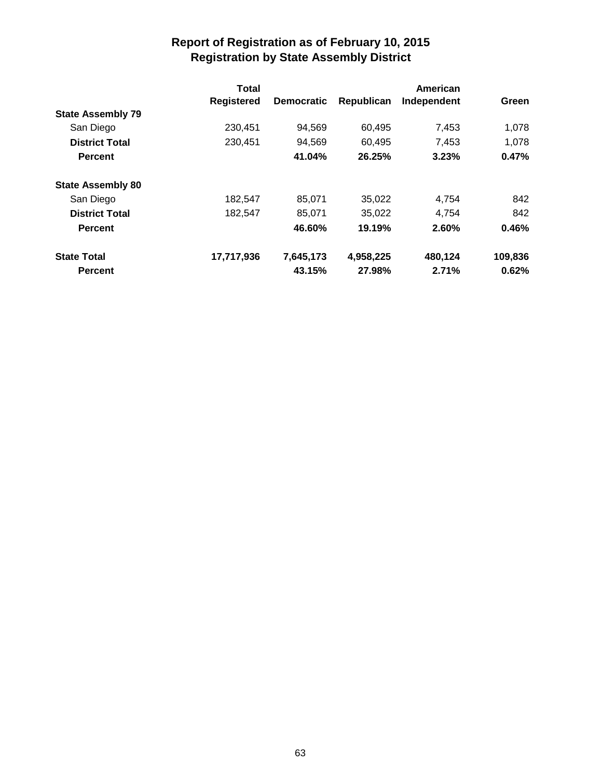|                          | <b>Total</b>      |                   |            | American    |         |
|--------------------------|-------------------|-------------------|------------|-------------|---------|
|                          | <b>Registered</b> | <b>Democratic</b> | Republican | Independent | Green   |
| <b>State Assembly 79</b> |                   |                   |            |             |         |
| San Diego                | 230.451           | 94,569            | 60,495     | 7,453       | 1.078   |
| <b>District Total</b>    | 230,451           | 94,569            | 60.495     | 7.453       | 1,078   |
| <b>Percent</b>           |                   | 41.04%            | 26.25%     | 3.23%       | 0.47%   |
| <b>State Assembly 80</b> |                   |                   |            |             |         |
| San Diego                | 182,547           | 85,071            | 35,022     | 4,754       | 842     |
| <b>District Total</b>    | 182,547           | 85,071            | 35,022     | 4.754       | 842     |
| <b>Percent</b>           |                   | 46.60%            | 19.19%     | 2.60%       | 0.46%   |
| <b>State Total</b>       | 17,717,936        | 7,645,173         | 4,958,225  | 480,124     | 109,836 |
| <b>Percent</b>           |                   | 43.15%            | 27.98%     | 2.71%       | 0.62%   |